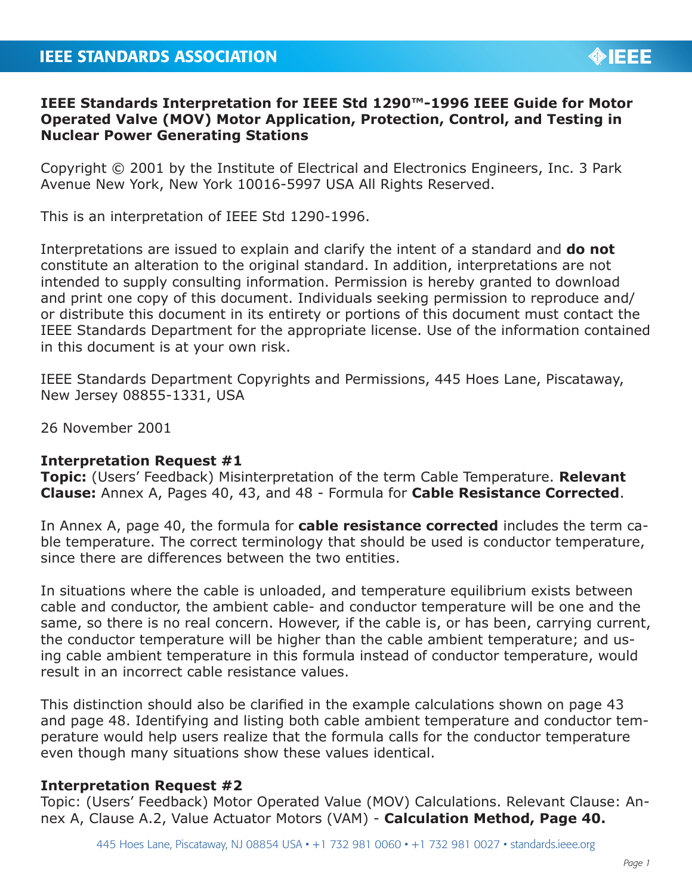# **IEEE Standards Interpretation for IEEE Std 1290™-1996 IEEE Guide for Motor Operated Valve (MOV) Motor Application, Protection, Control, and Testing in Nuclear Power Generating Stations**

Copyright © 2001 by the Institute of Electrical and Electronics Engineers, Inc. 3 Park Avenue New York, New York 10016-5997 USA All Rights Reserved.

This is an interpretation of IEEE Std 1290-1996.

Interpretations are issued to explain and clarify the intent of a standard and **do not** constitute an alteration to the original standard. In addition, interpretations are not intended to supply consulting information. Permission is hereby granted to download and print one copy of this document. Individuals seeking permission to reproduce and/ or distribute this document in its entirety or portions of this document must contact the IEEE Standards Department for the appropriate license. Use of the information contained in this document is at your own risk.

IEEE Standards Department Copyrights and Permissions, 445 Hoes Lane, Piscataway, New Jersey 08855-1331, USA

26 November 2001

## **Interpretation Request #1**

**Topic:** (Users' Feedback) Misinterpretation of the term Cable Temperature. **Relevant Clause:** Annex A, Pages 40, 43, and 48 - Formula for **Cable Resistance Corrected**.

In Annex A, page 40, the formula for **cable resistance corrected** includes the term cable temperature. The correct terminology that should be used is conductor temperature, since there are differences between the two entities.

In situations where the cable is unloaded, and temperature equilibrium exists between cable and conductor, the ambient cable- and conductor temperature will be one and the same, so there is no real concern. However, if the cable is, or has been, carrying current, the conductor temperature will be higher than the cable ambient temperature; and using cable ambient temperature in this formula instead of conductor temperature, would result in an incorrect cable resistance values.

This distinction should also be clarified in the example calculations shown on page 43 and page 48. Identifying and listing both cable ambient temperature and conductor temperature would help users realize that the formula calls for the conductor temperature even though many situations show these values identical.

## **Interpretation Request #2**

Topic: (Users' Feedback) Motor Operated Value (MOV) Calculations. Relevant Clause: Annex A, Clause A.2, Value Actuator Motors (VAM) - **Calculation Method, Page 40.**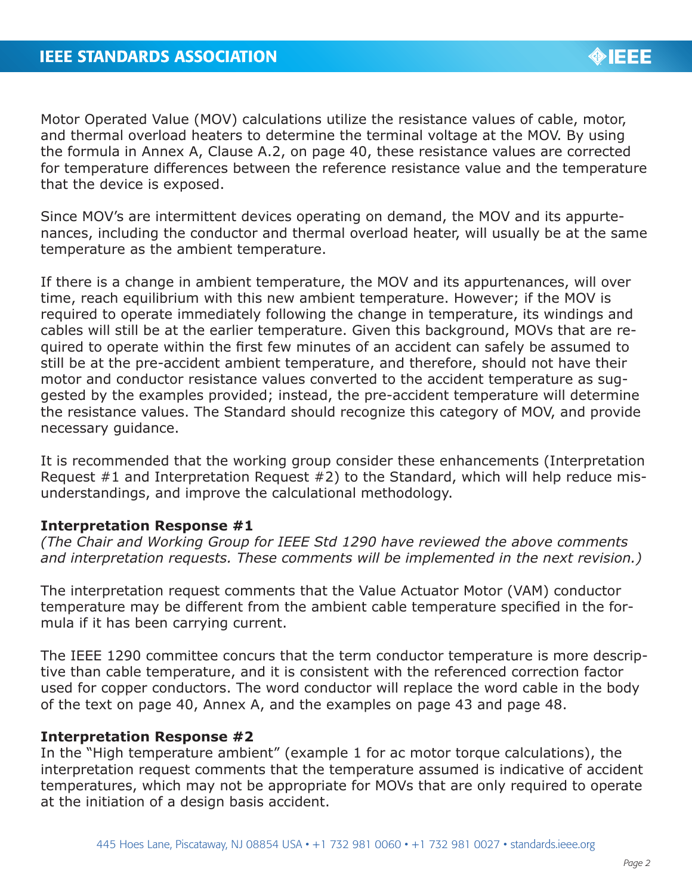Motor Operated Value (MOV) calculations utilize the resistance values of cable, motor, and thermal overload heaters to determine the terminal voltage at the MOV. By using the formula in Annex A, Clause A.2, on page 40, these resistance values are corrected for temperature differences between the reference resistance value and the temperature that the device is exposed.

Since MOV's are intermittent devices operating on demand, the MOV and its appurtenances, including the conductor and thermal overload heater, will usually be at the same temperature as the ambient temperature.

If there is a change in ambient temperature, the MOV and its appurtenances, will over time, reach equilibrium with this new ambient temperature. However; if the MOV is required to operate immediately following the change in temperature, its windings and cables will still be at the earlier temperature. Given this background, MOVs that are required to operate within the first few minutes of an accident can safely be assumed to still be at the pre-accident ambient temperature, and therefore, should not have their motor and conductor resistance values converted to the accident temperature as suggested by the examples provided; instead, the pre-accident temperature will determine the resistance values. The Standard should recognize this category of MOV, and provide necessary guidance.

It is recommended that the working group consider these enhancements (Interpretation Request #1 and Interpretation Request #2) to the Standard, which will help reduce misunderstandings, and improve the calculational methodology.

## **Interpretation Response #1**

*(The Chair and Working Group for IEEE Std 1290 have reviewed the above comments and interpretation requests. These comments will be implemented in the next revision.)*

The interpretation request comments that the Value Actuator Motor (VAM) conductor temperature may be different from the ambient cable temperature specified in the formula if it has been carrying current.

The IEEE 1290 committee concurs that the term conductor temperature is more descriptive than cable temperature, and it is consistent with the referenced correction factor used for copper conductors. The word conductor will replace the word cable in the body of the text on page 40, Annex A, and the examples on page 43 and page 48.

### **Interpretation Response #2**

In the "High temperature ambient" (example 1 for ac motor torque calculations), the interpretation request comments that the temperature assumed is indicative of accident temperatures, which may not be appropriate for MOVs that are only required to operate at the initiation of a design basis accident.

**OBJECT**